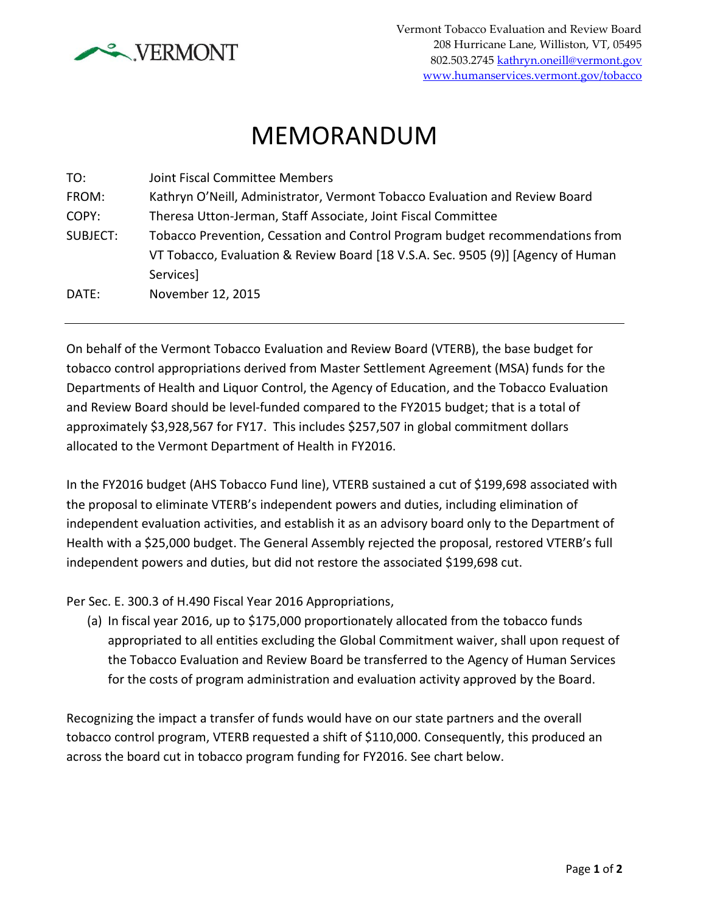

## MEMORANDUM

| TO:      | Joint Fiscal Committee Members                                                   |
|----------|----------------------------------------------------------------------------------|
| FROM:    | Kathryn O'Neill, Administrator, Vermont Tobacco Evaluation and Review Board      |
| COPY:    | Theresa Utton-Jerman, Staff Associate, Joint Fiscal Committee                    |
| SUBJECT: | Tobacco Prevention, Cessation and Control Program budget recommendations from    |
|          | VT Tobacco, Evaluation & Review Board [18 V.S.A. Sec. 9505 (9)] [Agency of Human |
|          | Services]                                                                        |
| DATE:    | November 12, 2015                                                                |
|          |                                                                                  |

On behalf of the Vermont Tobacco Evaluation and Review Board (VTERB), the base budget for tobacco control appropriations derived from Master Settlement Agreement (MSA) funds for the Departments of Health and Liquor Control, the Agency of Education, and the Tobacco Evaluation and Review Board should be level-funded compared to the FY2015 budget; that is a total of approximately \$3,928,567 for FY17. This includes \$257,507 in global commitment dollars allocated to the Vermont Department of Health in FY2016.

In the FY2016 budget (AHS Tobacco Fund line), VTERB sustained a cut of \$199,698 associated with the proposal to eliminate VTERB's independent powers and duties, including elimination of independent evaluation activities, and establish it as an advisory board only to the Department of Health with a \$25,000 budget. The General Assembly rejected the proposal, restored VTERB's full independent powers and duties, but did not restore the associated \$199,698 cut.

Per Sec. E. 300.3 of H.490 Fiscal Year 2016 Appropriations,

(a) In fiscal year 2016, up to \$175,000 proportionately allocated from the tobacco funds appropriated to all entities excluding the Global Commitment waiver, shall upon request of the Tobacco Evaluation and Review Board be transferred to the Agency of Human Services for the costs of program administration and evaluation activity approved by the Board.

Recognizing the impact a transfer of funds would have on our state partners and the overall tobacco control program, VTERB requested a shift of \$110,000. Consequently, this produced an across the board cut in tobacco program funding for FY2016. See chart below.